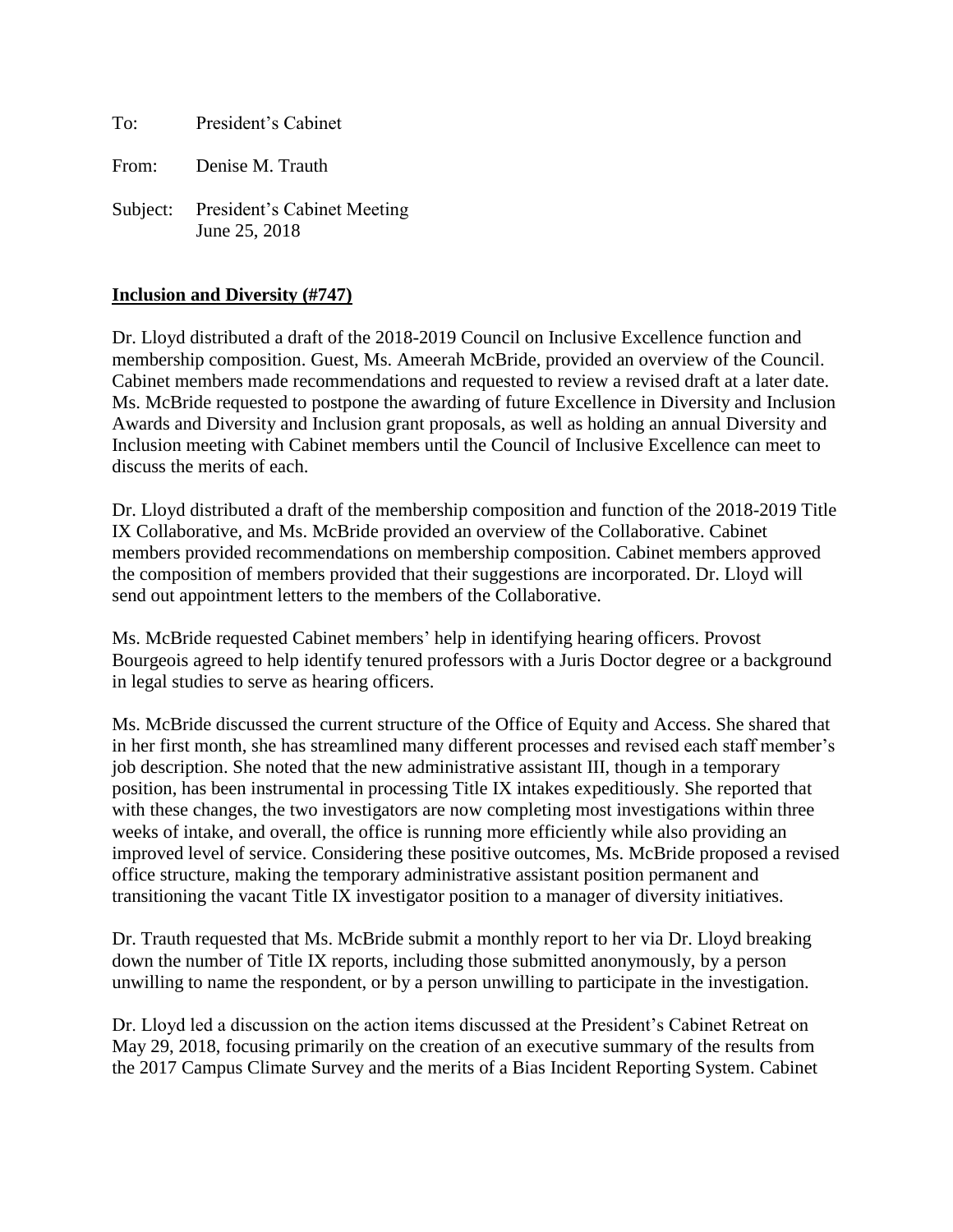To: President's Cabinet

From: Denise M. Trauth

Subject: President's Cabinet Meeting June 25, 2018

#### **Inclusion and Diversity (#747)**

Dr. Lloyd distributed a draft of the 2018-2019 Council on Inclusive Excellence function and membership composition. Guest, Ms. Ameerah McBride, provided an overview of the Council. Cabinet members made recommendations and requested to review a revised draft at a later date. Ms. McBride requested to postpone the awarding of future Excellence in Diversity and Inclusion Awards and Diversity and Inclusion grant proposals, as well as holding an annual Diversity and Inclusion meeting with Cabinet members until the Council of Inclusive Excellence can meet to discuss the merits of each.

Dr. Lloyd distributed a draft of the membership composition and function of the 2018-2019 Title IX Collaborative, and Ms. McBride provided an overview of the Collaborative. Cabinet members provided recommendations on membership composition. Cabinet members approved the composition of members provided that their suggestions are incorporated. Dr. Lloyd will send out appointment letters to the members of the Collaborative.

Ms. McBride requested Cabinet members' help in identifying hearing officers. Provost Bourgeois agreed to help identify tenured professors with a Juris Doctor degree or a background in legal studies to serve as hearing officers.

Ms. McBride discussed the current structure of the Office of Equity and Access. She shared that in her first month, she has streamlined many different processes and revised each staff member's job description. She noted that the new administrative assistant III, though in a temporary position, has been instrumental in processing Title IX intakes expeditiously. She reported that with these changes, the two investigators are now completing most investigations within three weeks of intake, and overall, the office is running more efficiently while also providing an improved level of service. Considering these positive outcomes, Ms. McBride proposed a revised office structure, making the temporary administrative assistant position permanent and transitioning the vacant Title IX investigator position to a manager of diversity initiatives.

Dr. Trauth requested that Ms. McBride submit a monthly report to her via Dr. Lloyd breaking down the number of Title IX reports, including those submitted anonymously, by a person unwilling to name the respondent, or by a person unwilling to participate in the investigation.

Dr. Lloyd led a discussion on the action items discussed at the President's Cabinet Retreat on May 29, 2018, focusing primarily on the creation of an executive summary of the results from the 2017 Campus Climate Survey and the merits of a Bias Incident Reporting System. Cabinet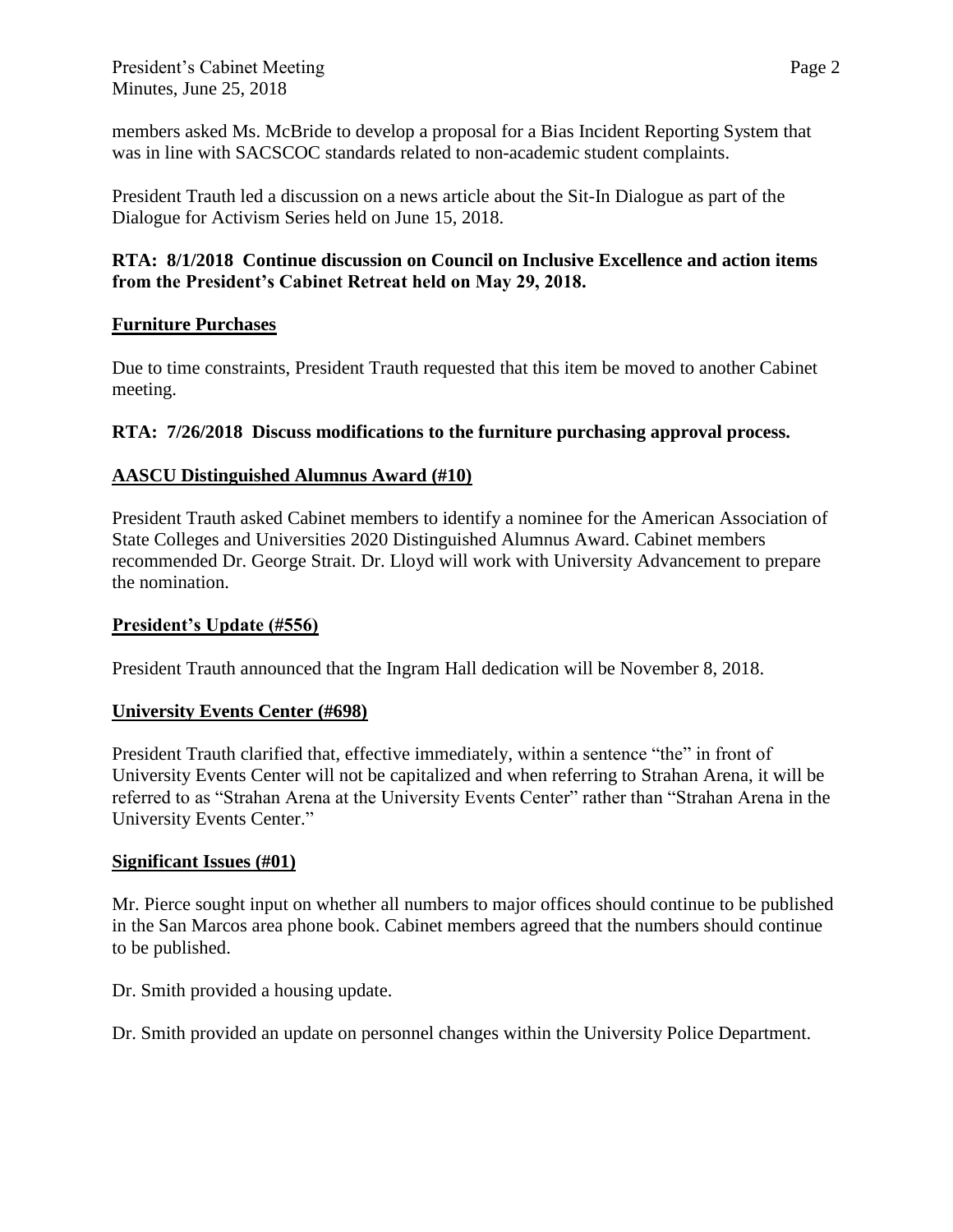members asked Ms. McBride to develop a proposal for a Bias Incident Reporting System that was in line with SACSCOC standards related to non-academic student complaints.

President Trauth led a discussion on a news article about the Sit-In Dialogue as part of the Dialogue for Activism Series held on June 15, 2018.

### **RTA: 8/1/2018 Continue discussion on Council on Inclusive Excellence and action items from the President's Cabinet Retreat held on May 29, 2018.**

### **Furniture Purchases**

Due to time constraints, President Trauth requested that this item be moved to another Cabinet meeting.

# **RTA: 7/26/2018 Discuss modifications to the furniture purchasing approval process.**

# **AASCU Distinguished Alumnus Award (#10)**

President Trauth asked Cabinet members to identify a nominee for the American Association of State Colleges and Universities 2020 Distinguished Alumnus Award. Cabinet members recommended Dr. George Strait. Dr. Lloyd will work with University Advancement to prepare the nomination.

### **President's Update (#556)**

President Trauth announced that the Ingram Hall dedication will be November 8, 2018.

#### **University Events Center (#698)**

President Trauth clarified that, effective immediately, within a sentence "the" in front of University Events Center will not be capitalized and when referring to Strahan Arena, it will be referred to as "Strahan Arena at the University Events Center" rather than "Strahan Arena in the University Events Center."

#### **Significant Issues (#01)**

Mr. Pierce sought input on whether all numbers to major offices should continue to be published in the San Marcos area phone book. Cabinet members agreed that the numbers should continue to be published.

Dr. Smith provided a housing update.

Dr. Smith provided an update on personnel changes within the University Police Department.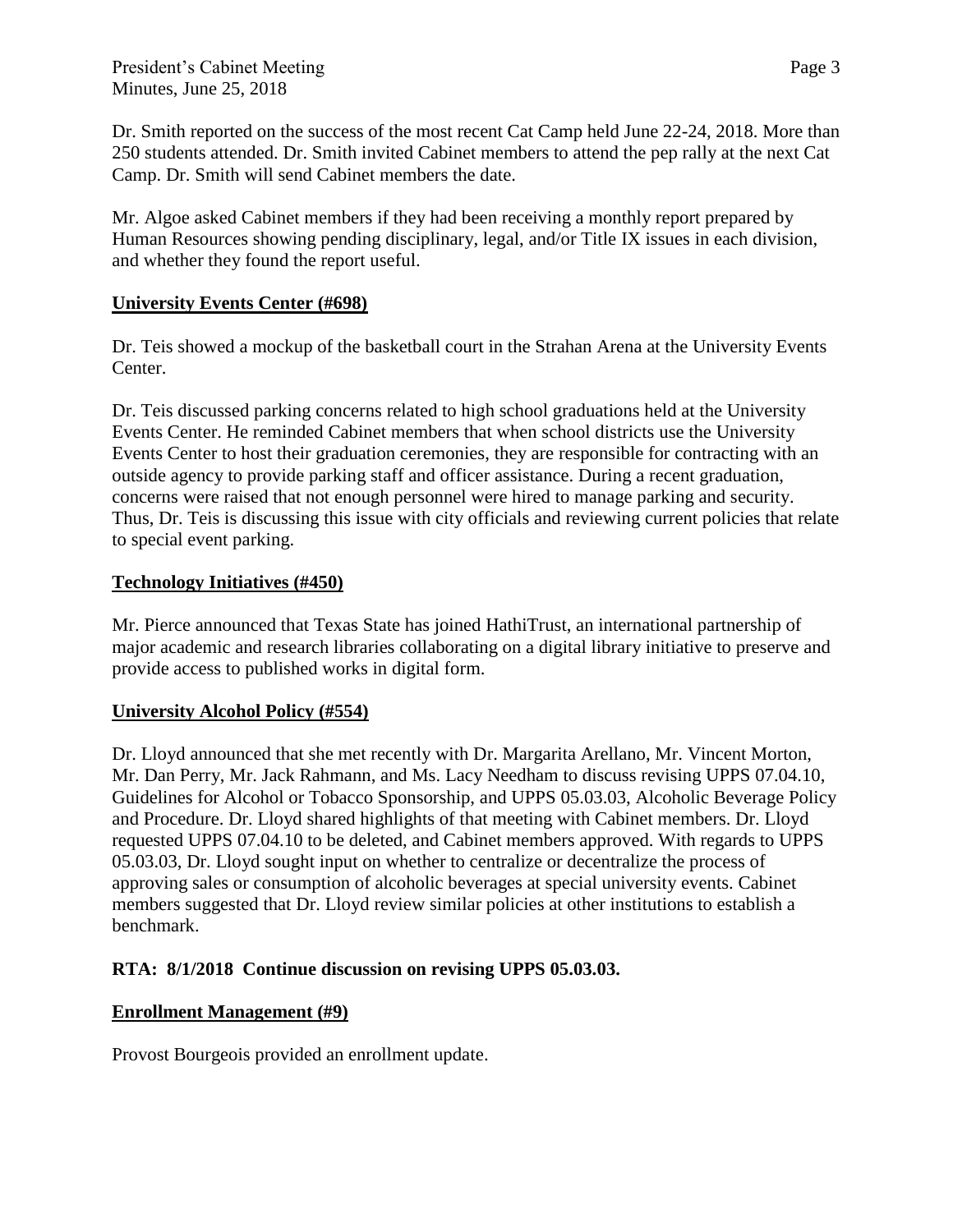Dr. Smith reported on the success of the most recent Cat Camp held June 22-24, 2018. More than 250 students attended. Dr. Smith invited Cabinet members to attend the pep rally at the next Cat Camp. Dr. Smith will send Cabinet members the date.

Mr. Algoe asked Cabinet members if they had been receiving a monthly report prepared by Human Resources showing pending disciplinary, legal, and/or Title IX issues in each division, and whether they found the report useful.

#### **University Events Center (#698)**

Dr. Teis showed a mockup of the basketball court in the Strahan Arena at the University Events Center.

Dr. Teis discussed parking concerns related to high school graduations held at the University Events Center. He reminded Cabinet members that when school districts use the University Events Center to host their graduation ceremonies, they are responsible for contracting with an outside agency to provide parking staff and officer assistance. During a recent graduation, concerns were raised that not enough personnel were hired to manage parking and security. Thus, Dr. Teis is discussing this issue with city officials and reviewing current policies that relate to special event parking.

#### **Technology Initiatives (#450)**

Mr. Pierce announced that Texas State has joined HathiTrust, an international partnership of major academic and research libraries collaborating on a digital library initiative to preserve and provide access to published works in digital form.

#### **University Alcohol Policy (#554)**

Dr. Lloyd announced that she met recently with Dr. Margarita Arellano, Mr. Vincent Morton, Mr. Dan Perry, Mr. Jack Rahmann, and Ms. Lacy Needham to discuss revising UPPS 07.04.10, Guidelines for Alcohol or Tobacco Sponsorship, and UPPS 05.03.03, Alcoholic Beverage Policy and Procedure. Dr. Lloyd shared highlights of that meeting with Cabinet members. Dr. Lloyd requested UPPS 07.04.10 to be deleted, and Cabinet members approved. With regards to UPPS 05.03.03, Dr. Lloyd sought input on whether to centralize or decentralize the process of approving sales or consumption of alcoholic beverages at special university events. Cabinet members suggested that Dr. Lloyd review similar policies at other institutions to establish a benchmark.

#### **RTA: 8/1/2018 Continue discussion on revising UPPS 05.03.03.**

#### **Enrollment Management (#9)**

Provost Bourgeois provided an enrollment update.